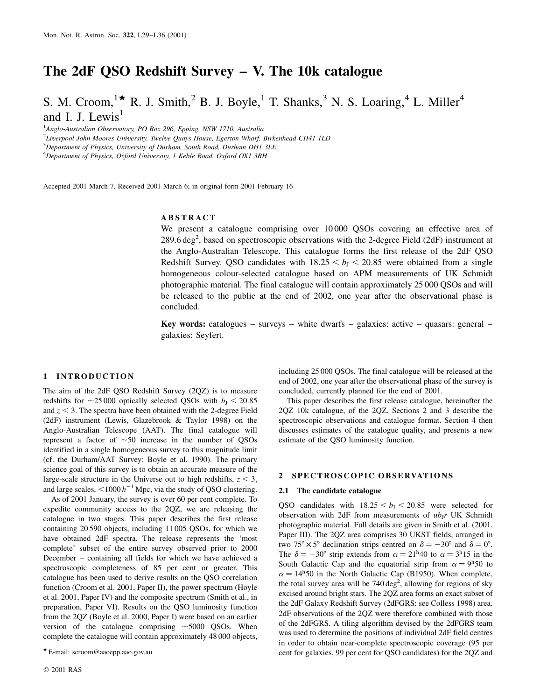# The 2dF OSO Redshift Survey - V. The 10k catalogue

## S. M. Croom,  $\rightarrow$  R. J. Smith, <sup>2</sup> B. J. Boyle, <sup>1</sup> T. Shanks, <sup>3</sup> N. S. Loaring, <sup>4</sup> L. Miller<sup>4</sup> and  $I$  I Lewis<sup>1</sup>

<sup>1</sup>Anglo-Australian Observatory, PO Box 296, Epping, NSW 1710, Australia

 ${}^{2}$ Liverpool John Moores University, Twelve Quays House, Egerton Wharf, Birkenhead CH41 1LD

<sup>3</sup>Department of Physics, University of Durham, South Road, Durham DH1 3LE

<sup>4</sup>Department of Physics, Oxford University, 1 Keble Road, Oxford OX1 3RH

Accepted 2001 March 7. Received 2001 March 6; in original form 2001 February 16

## **ABSTRACT**

We present a catalogue comprising over 10000 QSOs covering an effective area of  $289.6 \text{ deg}^2$ , based on spectroscopic observations with the 2-degree Field (2dF) instrument at the Anglo-Australian Telescope. This catalogue forms the first release of the 2dF QSO Redshift Survey. QSO candidates with  $18.25 < b<sub>J</sub> < 20.85$  were obtained from a single homogeneous colour-selected catalogue based on APM measurements of UK Schmidt photographic material. The final catalogue will contain approximately 25 000 QSOs and will be released to the public at the end of 2002, one year after the observational phase is concluded.

**Key words:** catalogues – surveys – white dwarfs – galaxies: active – quasars: general – galaxies: Seyfert.

### 1 INTRODUCTION

The aim of the 2dF QSO Redshift Survey (2QZ) is to measure redshifts for  $\sim$ 25000 optically selected QSOs with  $b<sub>J</sub>$  < 20.85 and  $z < 3$ . The spectra have been obtained with the 2-degree Field (2dF) instrument (Lewis, Glazebrook & Taylor 1998) on the Anglo-Australian Telescope (AAT). The final catalogue will represent a factor of  $\sim 50$  increase in the number of QSOs identified in a single homogeneous survey to this magnitude limit (cf. the Durham/AAT Survey: Boyle et al. 1990). The primary science goal of this survey is to obtain an accurate measure of the large-scale structure in the Universe out to high redshifts,  $z < 3$ , and large scales,  $\leq 1000 h^{-1}$  Mpc, via the study of QSO clustering.

As of 2001 January, the survey is over 60 per cent complete. To expedite community access to the 2QZ, we are releasing the catalogue in two stages. This paper describes the first release containing 20590 objects, including 11005 QSOs, for which we have obtained 2dF spectra. The release represents the 'most complete' subset of the entire survey observed prior to 2000 December - containing all fields for which we have achieved a spectroscopic completeness of 85 per cent or greater. This catalogue has been used to derive results on the QSO correlation function (Croom et al. 2001, Paper II), the power spectrum (Hoyle et al. 2001, Paper IV) and the composite spectrum (Smith et al., in preparation, Paper VI). Results on the QSO luminosity function from the 2QZ (Boyle et al. 2000, Paper I) were based on an earlier version of the catalogue comprising  $\sim$  5000 QSOs. When complete the catalogue will contain approximately 48 000 objects, including 25 000 OSOs. The final catalogue will be released at the end of 2002, one year after the observational phase of the survey is concluded, currently planned for the end of 2001.

This paper describes the first release catalogue, hereinafter the 2QZ 10k catalogue, of the 2QZ. Sections 2 and 3 describe the spectroscopic observations and catalogue format. Section 4 then discusses estimates of the catalogue quality, and presents a new estimate of the QSO luminosity function.

#### 2 SPECTROSCOPIC OBSERVATIONS

#### 2.1 The candidate catalogue

QSO candidates with  $18.25 < b<sub>J</sub> < 20.85$  were selected for observation with 2dF from measurements of  $ub<sub>1</sub>r$  UK Schmidt photographic material. Full details are given in Smith et al. (2001, Paper III). The 2QZ area comprises 30 UKST fields, arranged in two 75°  $\times$  5° declination strips centred on  $\delta = -30^{\circ}$  and  $\delta = 0^{\circ}$ . The  $\delta = -30^{\circ}$  strip extends from  $\alpha = 21^{\circ}40$  to  $\alpha = 3^{\circ}15$  in the South Galactic Cap and the equatorial strip from  $\alpha = 9^{\text{h}}50$  to  $\alpha = 14^{\text{h}}50$  in the North Galactic Cap (B1950). When complete, the total survey area will be  $740 \text{ deg}^2$ , allowing for regions of sky excised around bright stars. The 2QZ area forms an exact subset of the 2dF Galaxy Redshift Survey (2dFGRS: see Colless 1998) area. 2dF observations of the 2QZ were therefore combined with those of the 2dFGRS. A tiling algorithm devised by the 2dFGRS team was used to determine the positions of individual 2dF field centres in order to obtain near-complete spectroscopic coverage (95 per cent for galaxies, 99 per cent for QSO candidates) for the 2QZ and

<sup>\*</sup> E-mail: scroom@aaoepp.aao.gov.au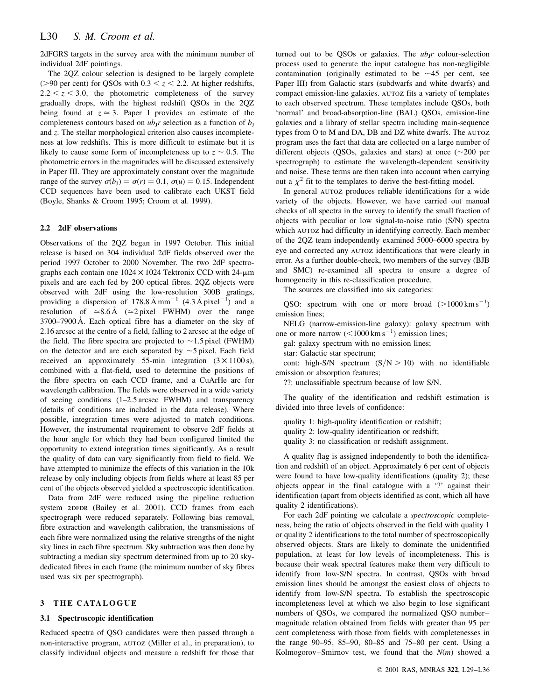2dFGRS targets in the survey area with the minimum number of individual 2dF pointings.

The 2QZ colour selection is designed to be largely complete (>90 per cent) for QSOs with  $0.3 < z < 2.2$ . At higher redshifts,  $2.2 < z < 3.0$ , the photometric completeness of the survey gradually drops, with the highest redshift QSOs in the 2QZ being found at  $z \approx 3$ . Paper I provides an estimate of the completeness contours based on  $ub_1r$  selection as a function of  $b_1$ and z. The stellar morphological criterion also causes incompleteness at low redshifts. This is more difficult to estimate but it is likely to cause some form of incompleteness up to  $z \sim 0.5$ . The photometric errors in the magnitudes will be discussed extensively in Paper III. They are approximately constant over the magnitude range of the survey  $\sigma(b_1) = \sigma(r) = 0.1$ ,  $\sigma(u) = 0.15$ . Independent CCD sequences have been used to calibrate each UKST field (Boyle, Shanks & Croom 1995; Croom et al. 1999).

#### 2.2 2dF observations

Observations of the 2QZ began in 1997 October. This initial release is based on 304 individual 2dF fields observed over the period 1997 October to 2000 November. The two 2dF spectrographs each contain one  $1024 \times 1024$  Tektronix CCD with 24- $\mu$ m pixels and are each fed by 200 optical fibres. 2QZ objects were observed with 2dF using the low-resolution 300B gratings, providing a dispersion of 178.8  $\AA$  mm<sup>-1</sup> (4.3  $\AA$  pixel<sup>-1</sup>) and a resolution of  $\approx 8.6 \text{ Å}$  ( $\approx 2 \text{ pixel}$  FWHM) over the range  $3700-7900$  Å. Each optical fibre has a diameter on the sky of 2.16 arcsec at the centre of a field, falling to 2 arcsec at the edge of the field. The fibre spectra are projected to  $\sim$ 1.5 pixel (FWHM) on the detector and are each separated by  $\sim$  5 pixel. Each field received an approximately 55-min integration  $(3 \times 1100 \text{ s})$ , combined with a flat-field, used to determine the positions of the fibre spectra on each CCD frame, and a CuArHe arc for wavelength calibration. The fields were observed in a wide variety of seeing conditions (1-2.5 arcsec FWHM) and transparency (details of conditions are included in the data release). Where possible, integration times were adjusted to match conditions. However, the instrumental requirement to observe 2dF fields at the hour angle for which they had been configured limited the opportunity to extend integration times significantly. As a result the quality of data can vary significantly from field to field. We have attempted to minimize the effects of this variation in the 10k release by only including objects from fields where at least 85 per cent of the objects observed yielded a spectroscopic identification.

Data from 2dF were reduced using the pipeline reduction system 2DFDR (Bailey et al. 2001). CCD frames from each spectrograph were reduced separately. Following bias removal, fibre extraction and wavelength calibration, the transmissions of each fibre were normalized using the relative strengths of the night sky lines in each fibre spectrum. Sky subtraction was then done by subtracting a median sky spectrum determined from up to 20 skydedicated fibres in each frame (the minimum number of sky fibres used was six per spectrograph).

#### 3 THE CATALOGUE

#### $3.1$ Spectroscopic identification

Reduced spectra of QSO candidates were then passed through a non-interactive program, AUTOZ (Miller et al., in preparation), to classify individual objects and measure a redshift for those that turned out to be QSOs or galaxies. The  $ub_1r$  colour-selection process used to generate the input catalogue has non-negligible contamination (originally estimated to be  $\sim$ 45 per cent, see Paper III) from Galactic stars (subdwarfs and white dwarfs) and compact emission-line galaxies. AUTOZ fits a variety of templates to each observed spectrum. These templates include QSOs, both 'normal' and broad-absorption-line (BAL) QSOs, emission-line galaxies and a library of stellar spectra including main-sequence types from O to M and DA, DB and DZ white dwarfs. The AUTOZ program uses the fact that data are collected on a large number of different objects (QSOs, galaxies and stars) at once  $(\sim 200$  per spectrograph) to estimate the wavelength-dependent sensitivity and noise. These terms are then taken into account when carrying out a  $\chi^2$  fit to the templates to derive the best-fitting model.

In general AUTOZ produces reliable identifications for a wide variety of the objects. However, we have carried out manual checks of all spectra in the survey to identify the small fraction of objects with peculiar or low signal-to-noise ratio (S/N) spectra which AUTOZ had difficulty in identifying correctly. Each member of the 2QZ team independently examined 5000–6000 spectra by eye and corrected any AUTOZ identifications that were clearly in error. As a further double-check, two members of the survey (BJB and SMC) re-examined all spectra to ensure a degree of homogeneity in this re-classification procedure.

The sources are classified into six categories:

QSO: spectrum with one or more broad  $(>1000 \text{ km s}^{-1})$ emission lines:

NELG (narrow-emission-line galaxy): galaxy spectrum with one or more narrow  $(<1000 \text{ km s}^{-1})$  emission lines;

gal: galaxy spectrum with no emission lines;

star: Galactic star spectrum;

cont: high-S/N spectrum  $(S/N > 10)$  with no identifiable emission or absorption features;

??: unclassifiable spectrum because of low S/N.

The quality of the identification and redshift estimation is divided into three levels of confidence:

quality 1: high-quality identification or redshift;

quality 2: low-quality identification or redshift;

quality 3: no classification or redshift assignment.

A quality flag is assigned independently to both the identification and redshift of an object. Approximately 6 per cent of objects were found to have low-quality identifications (quality 2); these objects appear in the final catalogue with a '?' against their identification (apart from objects identified as cont, which all have quality 2 identifications).

For each 2dF pointing we calculate a *spectroscopic* completeness, being the ratio of objects observed in the field with quality 1 or quality 2 identifications to the total number of spectroscopically observed objects. Stars are likely to dominate the unidentified population, at least for low levels of incompleteness. This is because their weak spectral features make them very difficult to identify from low-S/N spectra. In contrast, QSOs with broad emission lines should be amongst the easiest class of objects to identify from low-S/N spectra. To establish the spectroscopic incompleteness level at which we also begin to lose significant numbers of QSOs, we compared the normalized QSO numbermagnitude relation obtained from fields with greater than 95 per cent completeness with those from fields with completenesses in the range 90–95, 85–90, 80–85 and 75–80 per cent. Using a Kolmogorov-Smirnov test, we found that the  $N(m)$  showed a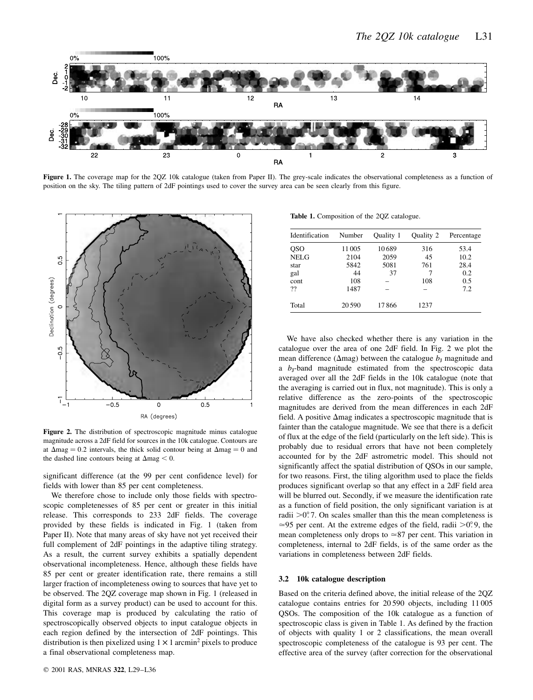

Figure 1. The coverage map for the 2QZ 10k catalogue (taken from Paper II). The grey-scale indicates the observational completeness as a function of position on the sky. The tiling pattern of 2dF pointings used to cover the survey area can be seen clearly from this figure.



Figure 2. The distribution of spectroscopic magnitude minus catalogue magnitude across a 2dF field for sources in the 10k catalogue. Contours are at  $\Delta$ mag = 0.2 intervals, the thick solid contour being at  $\Delta$ mag = 0 and the dashed line contours being at  $\Delta$ mag < 0.

significant difference (at the 99 per cent confidence level) for fields with lower than 85 per cent completeness.

We therefore chose to include only those fields with spectroscopic completenesses of 85 per cent or greater in this initial release. This corresponds to 233 2dF fields. The coverage provided by these fields is indicated in Fig. 1 (taken from Paper II). Note that many areas of sky have not yet received their full complement of 2dF pointings in the adaptive tiling strategy. As a result, the current survey exhibits a spatially dependent observational incompleteness. Hence, although these fields have 85 per cent or greater identification rate, there remains a still larger fraction of incompleteness owing to sources that have yet to be observed. The 2QZ coverage map shown in Fig. 1 (released in digital form as a survey product) can be used to account for this. This coverage map is produced by calculating the ratio of spectroscopically observed objects to input catalogue objects in each region defined by the intersection of 2dF pointings. This distribution is then pixelized using  $1 \times 1$  arcmin<sup>2</sup> pixels to produce a final observational completeness map.

Table 1. Composition of the 2QZ catalogue.

| Identification | Number | Ouality 1 | Quality 2 | Percentage |
|----------------|--------|-----------|-----------|------------|
| <b>QSO</b>     | 11 005 | 10689     | 316       | 53.4       |
| NELG           | 2104   | 2059      | 45        | 10.2       |
| star           | 5842   | 5081      | 761       | 28.4       |
| gal            | 44     | 37        |           | 0.2        |
| cont           | 108    |           | 108       | 0.5        |
| ??             | 1487   |           |           | 7.2        |
| Total          | 20590  | 17866     | 1237      |            |

We have also checked whether there is any variation in the catalogue over the area of one 2dF field. In Fig. 2 we plot the mean difference ( $\Delta$ mag) between the catalogue  $b<sub>J</sub>$  magnitude and a  $b<sub>J</sub>$ -band magnitude estimated from the spectroscopic data averaged over all the 2dF fields in the 10k catalogue (note that the averaging is carried out in flux, not magnitude). This is only a relative difference as the zero-points of the spectroscopic magnitudes are derived from the mean differences in each 2dF field. A positive  $\Delta$ mag indicates a spectroscopic magnitude that is fainter than the catalogue magnitude. We see that there is a deficit of flux at the edge of the field (particularly on the left side). This is probably due to residual errors that have not been completely accounted for by the 2dF astrometric model. This should not significantly affect the spatial distribution of QSOs in our sample, for two reasons. First, the tiling algorithm used to place the fields produces significant overlap so that any effect in a 2dF field area will be blurred out. Secondly, if we measure the identification rate as a function of field position, the only significant variation is at radii  $>0^{\circ}$ . On scales smaller than this the mean completeness is  $\approx$ 95 per cent. At the extreme edges of the field, radii  $>$ 0°.9, the mean completeness only drops to  $\simeq 87$  per cent. This variation in completeness, internal to 2dF fields, is of the same order as the variations in completeness between 2dF fields.

#### 3.2 10k catalogue description

Based on the criteria defined above, the initial release of the 2QZ catalogue contains entries for 20590 objects, including 11005 OSOs. The composition of the 10k catalogue as a function of spectroscopic class is given in Table 1. As defined by the fraction of objects with quality 1 or 2 classifications, the mean overall spectroscopic completeness of the catalogue is 93 per cent. The effective area of the survey (after correction for the observational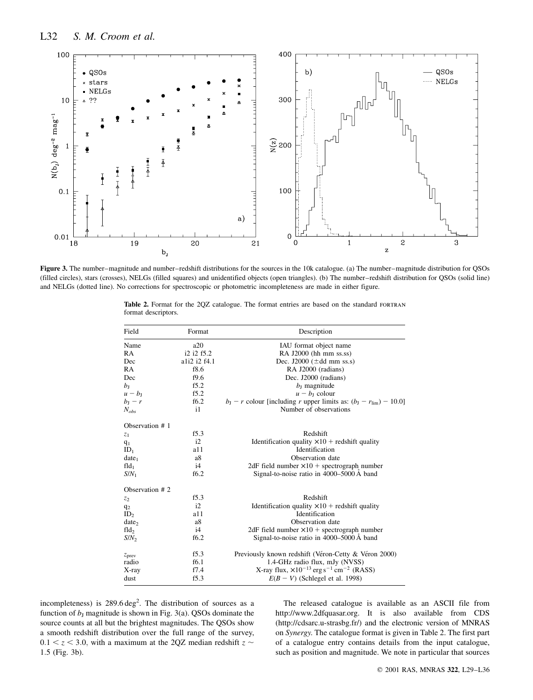

Figure 3. The number–magnitude and number–redshift distributions for the sources in the 10k catalogue. (a) The number–magnitude distribution for QSOs (filled circles), stars (crosses), NELGs (filled squares) and unidentified objects (open triangles). (b) The number-redshift distribution for QSOs (solid line) and NELGs (dotted line). No corrections for spectroscopic or photometric incompleteness are made in either figure.

|                     |  | Table 2. Format for the 2QZ catalogue. The format entries are based on the standard FORTRAN |  |  |  |  |  |
|---------------------|--|---------------------------------------------------------------------------------------------|--|--|--|--|--|
| format descriptors. |  |                                                                                             |  |  |  |  |  |

| Field             | Format       | Description                                                                               |
|-------------------|--------------|-------------------------------------------------------------------------------------------|
| Name              | a20          | IAU format object name                                                                    |
| RA                | i2 i2 f5.2   | RA J2000 (hh mm ss.ss)                                                                    |
| Dec               | a1i2 i2 f4.1 | Dec. J2000 ( $\pm$ dd mm ss.s)                                                            |
| RA                | f8.6         | RA J2000 (radians)                                                                        |
| Dec               | f9.6         | Dec. J2000 (radians)                                                                      |
| $b_{\rm L}$       | f5.2         | $b_{\text{I}}$ magnitude                                                                  |
| $u - b_{\rm I}$   | f5.2         | $u - b_1$ colour                                                                          |
| $b_1-r$           | f6.2         | $b_{\rm J} - r$ colour [including r upper limits as: $(b_{\rm J} - r_{\rm lim}) - 10.0$ ] |
| $N_{obs}$         | i1           | Number of observations                                                                    |
| Observation #1    |              |                                                                                           |
| $z_1$             | f5.3         | Redshift                                                                                  |
| $q_1$             | i2           | Identification quality $\times 10$ + redshift quality                                     |
| $ID_1$            | a11          | Identification                                                                            |
| $date_1$          | a8           | Observation date                                                                          |
| $fld_1$           | i4           | $2dF$ field number $\times 10 +$ spectrograph number                                      |
| $S/N_1$           | f6.2         | Signal-to-noise ratio in 4000–5000 Å band                                                 |
| Observation # 2   |              |                                                                                           |
| z <sub>2</sub>    | f5.3         | Redshift                                                                                  |
| $q_2$             | i2           | Identification quality $\times 10$ + redshift quality                                     |
| ID <sub>2</sub>   | a11          | Identification                                                                            |
| date <sub>2</sub> | a8           | Observation date                                                                          |
| $fld_2$           | i4           | $2dF$ field number $\times 10 +$ spectrograph number                                      |
| S/N <sub>2</sub>  | f6.2         | Signal-to-noise ratio in 4000-5000 Å band                                                 |
| $z_{\rm prev}$    | f5.3         | Previously known redshift (Véron-Cetty & Véron 2000)                                      |
| radio             | f6.1         | 1.4-GHz radio flux, mJy (NVSS)                                                            |
| X-ray             | f7.4         | X-ray flux, $\times 10^{-13}$ erg s <sup>-1</sup> cm <sup>-2</sup> (RASS)                 |
| dust              | f5.3         | $E(B - V)$ (Schlegel et al. 1998)                                                         |

incompleteness) is  $289.6 \text{ deg}^2$ . The distribution of sources as a function of  $b<sub>J</sub>$  magnitude is shown in Fig. 3(a). QSOs dominate the source counts at all but the brightest magnitudes. The QSOs show a smooth redshift distribution over the full range of the survey,  $0.1 < z < 3.0$ , with a maximum at the 2QZ median redshift  $z \sim$ 1.5 (Fig. 3b).

The released catalogue is available as an ASCII file from http://www.2dfquasar.org. It is also available from CDS (http://cdsarc.u-strasbg.fr/) and the electronic version of MNRAS on Synergy. The catalogue format is given in Table 2. The first part of a catalogue entry contains details from the input catalogue, such as position and magnitude. We note in particular that sources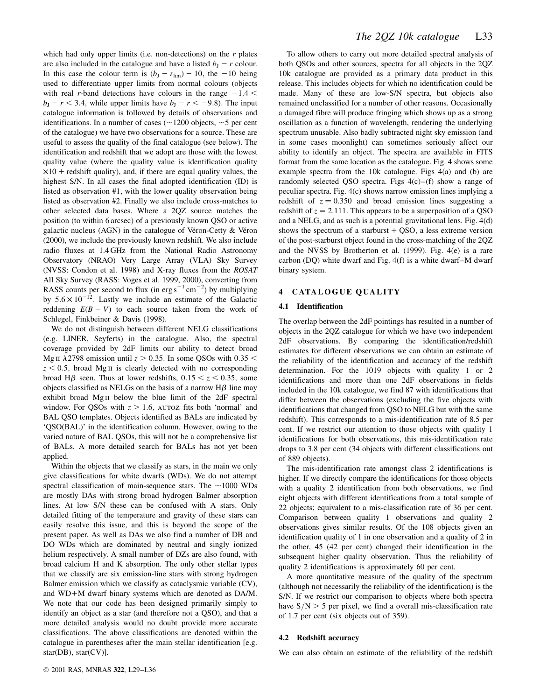which had only upper limits (i.e. non-detections) on the  $r$  plates are also included in the catalogue and have a listed  $b<sub>J</sub> - r$  colour. In this case the colour term is  $(b<sub>J</sub> - r<sub>lim</sub>) - 10$ , the -10 being used to differentiate upper limits from normal colours (objects with real r-band detections have colours in the range  $-1.4 <$  $b_1 - r < 3.4$ , while upper limits have  $b_1 - r < -9.8$ ). The input catalogue information is followed by details of observations and identifications. In a number of cases ( $\sim$ 1200 objects,  $\sim$ 5 per cent of the catalogue) we have two observations for a source. These are useful to assess the quality of the final catalogue (see below). The identification and redshift that we adopt are those with the lowest quality value (where the quality value is identification quality  $\times 10$  + redshift quality), and, if there are equal quality values, the highest S/N. In all cases the final adopted identification (ID) is listed as observation #1, with the lower quality observation being listed as observation #2. Finally we also include cross-matches to other selected data bases. Where a 2QZ source matches the position (to within 6 arcsec) of a previously known QSO or active galactic nucleus (AGN) in the catalogue of Véron-Cetty & Véron (2000), we include the previously known redshift. We also include radio fluxes at 1.4 GHz from the National Radio Astronomy Observatory (NRAO) Very Large Array (VLA) Sky Survey (NVSS: Condon et al. 1998) and X-ray fluxes from the ROSAT All Sky Survey (RASS: Voges et al. 1999, 2000), converting from RASS counts per second to flux (in  $erg s^{-1} cm^{-2}$ ) by multiplying by  $5.6 \times 10^{-12}$ . Lastly we include an estimate of the Galactic reddening  $E(B - V)$  to each source taken from the work of Schlegel, Finkbeiner & Davis (1998).

We do not distinguish between different NELG classifications (e.g. LINER, Seyferts) in the catalogue. Also, the spectral coverage provided by 2dF limits our ability to detect broad Mg II  $\lambda$ 2798 emission until  $z > 0.35$ . In some QSOs with 0.35 <  $z \le 0.5$ , broad Mg<sub>II</sub> is clearly detected with no corresponding broad H $\beta$  seen. Thus at lower redshifts,  $0.15 < z < 0.35$ , some objects classified as NELGs on the basis of a narrow  $H\beta$  line may exhibit broad Mg<sub>II</sub> below the blue limit of the 2dF spectral window. For QSOs with  $z > 1.6$ , AUTOZ fits both 'normal' and BAL QSO templates. Objects identified as BALs are indicated by 'QSO(BAL)' in the identification column. However, owing to the varied nature of BAL QSOs, this will not be a comprehensive list of BALs. A more detailed search for BALs has not yet been applied.

Within the objects that we classify as stars, in the main we only give classifications for white dwarfs (WDs). We do not attempt spectral classification of main-sequence stars. The  $\sim$ 1000 WDs are mostly DAs with strong broad hydrogen Balmer absorption lines. At low S/N these can be confused with A stars. Only detailed fitting of the temperature and gravity of these stars can easily resolve this issue, and this is beyond the scope of the present paper. As well as DAs we also find a number of DB and DO WDs which are dominated by neutral and singly ionized helium respectively. A small number of DZs are also found, with broad calcium H and K absorption. The only other stellar types that we classify are six emission-line stars with strong hydrogen Balmer emission which we classify as cataclysmic variable (CV), and WD+M dwarf binary systems which are denoted as DA/M. We note that our code has been designed primarily simply to identify an object as a star (and therefore not a QSO), and that a more detailed analysis would no doubt provide more accurate classifications. The above classifications are denoted within the catalogue in parentheses after the main stellar identification [e.g.  $star(DB)$ ,  $star(CV)$ ].

To allow others to carry out more detailed spectral analysis of both QSOs and other sources, spectra for all objects in the 2QZ 10k catalogue are provided as a primary data product in this release. This includes objects for which no identification could be made. Many of these are low-S/N spectra, but objects also remained unclassified for a number of other reasons. Occasionally a damaged fibre will produce fringing which shows up as a strong oscillation as a function of wavelength, rendering the underlying spectrum unusable. Also badly subtracted night sky emission (and in some cases moonlight) can sometimes seriously affect our ability to identify an object. The spectra are available in FITS format from the same location as the catalogue. Fig. 4 shows some example spectra from the 10k catalogue. Figs 4(a) and (b) are randomly selected QSO spectra. Figs  $4(c)$ –(f) show a range of peculiar spectra. Fig. 4(c) shows narrow emission lines implying a redshift of  $z = 0.350$  and broad emission lines suggesting a redshift of  $z = 2.111$ . This appears to be a superposition of a QSO and a NELG, and as such is a potential gravitational lens. Fig.  $4(d)$ shows the spectrum of a starburst  $+$  QSO, a less extreme version of the post-starburst object found in the cross-matching of the 2QZ and the NVSS by Brotherton et al. (1999). Fig. 4(e) is a rare carbon (DQ) white dwarf and Fig. 4(f) is a white dwarf-M dwarf binary system.

### 4 CATALOGUE OUALITY

#### 4.1 Identification

The overlap between the 2dF pointings has resulted in a number of objects in the 2OZ catalogue for which we have two independent 2dF observations. By comparing the identification/redshift estimates for different observations we can obtain an estimate of the reliability of the identification and accuracy of the redshift determination. For the 1019 objects with quality 1 or 2 identifications and more than one 2dF observations in fields included in the 10k catalogue, we find 87 with identifications that differ between the observations (excluding the five objects with identifications that changed from QSO to NELG but with the same redshift). This corresponds to a mis-identification rate of 8.5 per cent. If we restrict our attention to those objects with quality 1 identifications for both observations, this mis-identification rate drops to 3.8 per cent (34 objects with different classifications out of 889 objects).

The mis-identification rate amongst class 2 identifications is higher. If we directly compare the identifications for those objects with a quality 2 identification from both observations, we find eight objects with different identifications from a total sample of 22 objects; equivalent to a mis-classification rate of 36 per cent. Comparison between quality 1 observations and quality 2 observations gives similar results. Of the 108 objects given an identification quality of 1 in one observation and a quality of 2 in the other, 45 (42 per cent) changed their identification in the subsequent higher quality observation. Thus the reliability of quality 2 identifications is approximately 60 per cent.

A more quantitative measure of the quality of the spectrum (although not necessarily the reliability of the identification) is the S/N. If we restrict our comparison to objects where both spectra have  $S/N > 5$  per pixel, we find a overall mis-classification rate of 1.7 per cent (six objects out of 359).

#### 4.2 Redshift accuracy

We can also obtain an estimate of the reliability of the redshift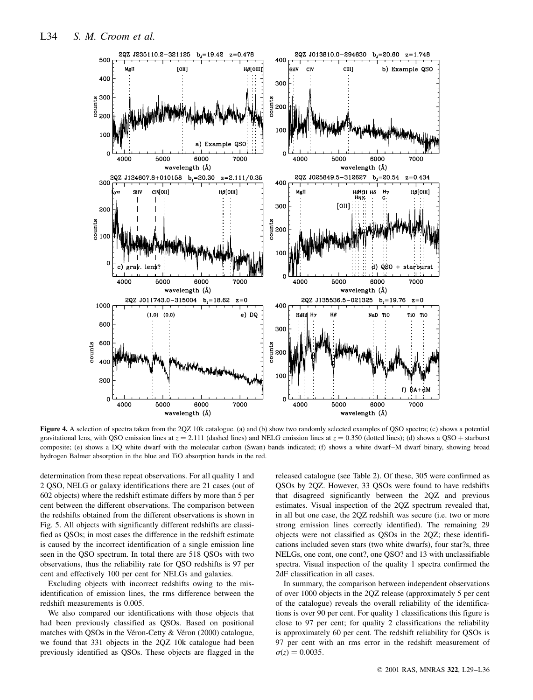

Figure 4. A selection of spectra taken from the 2OZ 10k catalogue. (a) and (b) show two randomly selected examples of OSO spectra; (c) shows a potential gravitational lens, with QSO emission lines at  $z = 2.111$  (dashed lines) and NELG emission lines at  $z = 0.350$  (dotted lines); (d) shows a QSO + starburst composite; (e) shows a DQ white dwarf with the molecular carbon (Swan) bands indicated; (f) shows a white dwarf–M dwarf binary, showing broad hydrogen Balmer absorption in the blue and TiO absorption bands in the red.

determination from these repeat observations. For all quality 1 and 2 QSO, NELG or galaxy identifications there are 21 cases (out of 602 objects) where the redshift estimate differs by more than 5 per cent between the different observations. The comparison between the redshifts obtained from the different observations is shown in Fig. 5. All objects with significantly different redshifts are classified as QSOs; in most cases the difference in the redshift estimate is caused by the incorrect identification of a single emission line seen in the OSO spectrum. In total there are 518 OSOs with two observations, thus the reliability rate for QSO redshifts is 97 per cent and effectively 100 per cent for NELGs and galaxies.

Excluding objects with incorrect redshifts owing to the misidentification of emission lines, the rms difference between the redshift measurements is 0.005.

We also compared our identifications with those objects that had been previously classified as QSOs. Based on positional matches with QSOs in the Véron-Cetty & Véron (2000) catalogue, we found that 331 objects in the 2QZ 10k catalogue had been previously identified as QSOs. These objects are flagged in the released catalogue (see Table 2). Of these, 305 were confirmed as QSOs by 2QZ. However, 33 QSOs were found to have redshifts that disagreed significantly between the 2QZ and previous estimates. Visual inspection of the 2QZ spectrum revealed that, in all but one case, the 2QZ redshift was secure (i.e. two or more strong emission lines correctly identified). The remaining 29 objects were not classified as QSOs in the 2QZ; these identifications included seven stars (two white dwarfs), four star?s, three NELGs, one cont, one cont?, one QSO? and 13 with unclassifiable spectra. Visual inspection of the quality 1 spectra confirmed the 2dF classification in all cases.

In summary, the comparison between independent observations of over 1000 objects in the 2QZ release (approximately 5 per cent of the catalogue) reveals the overall reliability of the identifications is over 90 per cent. For quality 1 classifications this figure is close to 97 per cent; for quality 2 classifications the reliability is approximately 60 per cent. The redshift reliability for QSOs is 97 per cent with an rms error in the redshift measurement of  $\sigma(z) = 0.0035.$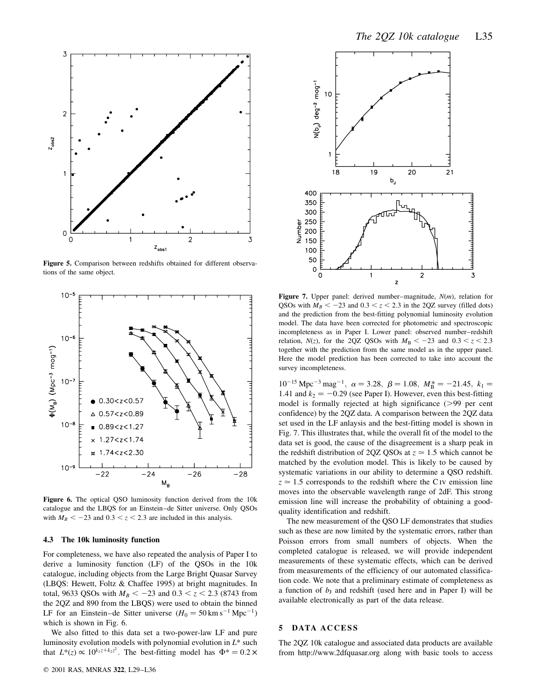

Figure 5. Comparison between redshifts obtained for different observations of the same object.



Figure 6. The optical QSO luminosity function derived from the 10k catalogue and the LBQS for an Einstein-de Sitter universe. Only QSOs with  $M_B < -23$  and  $0.3 < z < 2.3$  are included in this analysis.

#### 4.3 The 10k luminosity function

For completeness, we have also repeated the analysis of Paper I to derive a luminosity function (LF) of the QSOs in the 10k catalogue, including objects from the Large Bright Quasar Survey (LBQS: Hewett, Foltz & Chaffee 1995) at bright magnitudes. In total, 9633 QSOs with  $M_R < -23$  and 0.3  $\lt z < 2.3$  (8743 from the 2QZ and 890 from the LBQS) were used to obtain the binned LF for an Einstein-de Sitter universe  $(H_0 = 50 \text{ km s}^{-1} \text{ Mpc}^{-1})$ which is shown in Fig. 6.

We also fitted to this data set a two-power-law LF and pure luminosity evolution models with polynomial evolution in  $L^*$  such that  $L^*(z) \propto 10^{k_1 z + k_2 z^2}$ . The best-fitting model has  $\Phi^* = 0.2 \times$ 



**Figure 7.** Upper panel: derived number-magnitude,  $N(m)$ , relation for QSOs with  $M_B < -23$  and  $0.3 < z < 2.3$  in the 2QZ survey (filled dots) and the prediction from the best-fitting polynomial luminosity evolution model. The data have been corrected for photometric and spectroscopic incompleteness as in Paper I. Lower panel: observed number-redshift relation,  $N(z)$ , for the 2QZ QSOs with  $M_B < -23$  and  $0.3 < z < 2.3$ together with the prediction from the same model as in the upper panel. Here the model prediction has been corrected to take into account the survey incompleteness.

 $10^{-15}$  Mpc<sup>-3</sup> mag<sup>-1</sup>,  $\alpha = 3.28$ ,  $\beta = 1.08$ ,  $M_B^* = -21.45$ ,  $k_1 =$ 1.41 and  $k_2 = -0.29$  (see Paper I). However, even this best-fitting model is formally rejected at high significance (>99 per cent confidence) by the 2QZ data. A comparison between the 2QZ data set used in the LF anlaysis and the best-fitting model is shown in Fig. 7. This illustrates that, while the overall fit of the model to the data set is good, the cause of the disagreement is a sharp peak in the redshift distribution of 2QZ QSOs at  $z \approx 1.5$  which cannot be matched by the evolution model. This is likely to be caused by systematic variations in our ability to determine a QSO redshift.  $z \approx 1.5$  corresponds to the redshift where the C<sub>IV</sub> emission line moves into the observable wavelength range of 2dF. This strong emission line will increase the probability of obtaining a goodquality identification and redshift.

The new measurement of the QSO LF demonstrates that studies such as these are now limited by the systematic errors, rather than Poisson errors from small numbers of objects. When the completed catalogue is released, we will provide independent measurements of these systematic effects, which can be derived from measurements of the efficiency of our automated classification code. We note that a preliminary estimate of completeness as a function of  $b_1$  and redshift (used here and in Paper I) will be available electronically as part of the data release.

#### 5 DATA ACCESS

The 2QZ 10k catalogue and associated data products are available from http://www.2dfquasar.org along with basic tools to access